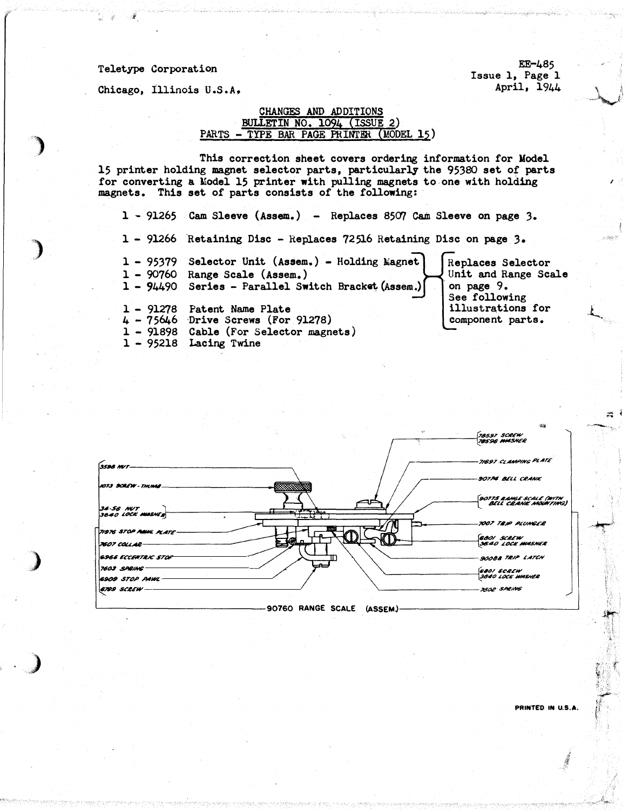## Teletype Corporation

Chicago, Illinois U.S.A.

EE-485 Issue 1, Page 1 April. 1944

## CHANGES AND ADDITIONS BULLETIN NO. 1094 (ISSUE 2) PARTS - TYPE BAR PAGE PRINTER (MODEL 15)

This correction sheet covers ordering information for Model 15 printer holding magnet selector parts, particularly the 95380 set of parts for converting a Model 15 printer with pulling magnets to one with holding magnets. This set of parts consists of the following:

1 - 91265 Cam Sleeve (Assem.) - Replaces 8507 Cam Sleeve on page 3. 1 - 91266 Retaining Disc - Replaces 72516 Retaining Disc on page 3. 1 - 95379 Selector Unit (Assem.) - Holding Magnet Replaces Selector Unit and Range Scale  $1 - 90760$  Range Scale (Assem.) 1 - 94490 Series - Parallel Switch Bracket (Assem.) on page 9. See following illustrations for 1 - 91278 Patent Name Plate  $4 - 75646$  Drive Screws (For 91278) component parts. 1 - 91898 Cable (For Selector magnets) 1 - 95218 Lacing Twine



PRINTED IN U.S.A.

 $\frac{1}{2}$